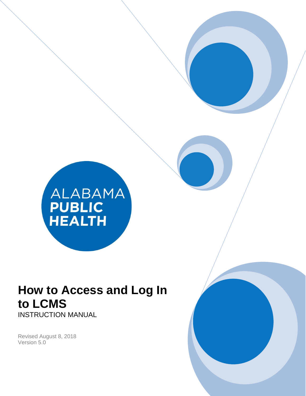

# **How to Access and Log In to LCMS** INSTRUCTION MANUAL

Revised August 8, 2018 Version 5.0

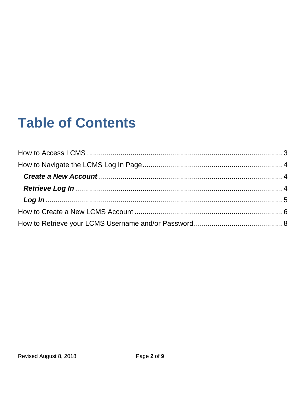# **Table of Contents**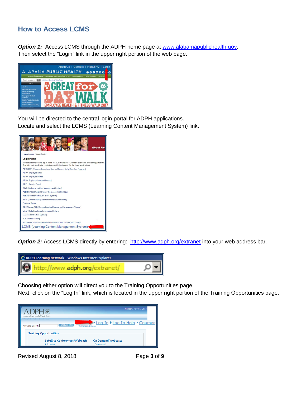# <span id="page-2-0"></span>**How to Access LCMS**

**Option 1:** Access LCMS through the ADPH home page at [www.alabamapublichealth.gov.](file:///C:/Users/sp1jjone/Documents/www.alabamapublichealth.gov) Then select the "Login" link in the upper right portion of the web page.



You will be directed to the central login portal for ADPH applications. Locate and select the LCMS (Learning Content Management System) link.



**Option 2:** Access LCMS directly by entering: <http://www.adph.org/extranet> into your web address bar.



Choosing either option will direct you to the Training Opportunities page.

Next, click on the "Log In" link, which is located in the upper right portion of the Training Opportunities page.



Revised August 8, 2018 Page **3** of **9**

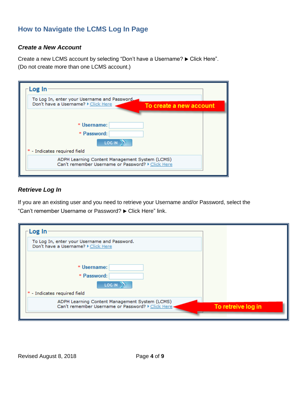# <span id="page-3-0"></span>**How to Navigate the LCMS Log In Page**

#### <span id="page-3-1"></span>*Create a New Account*

<span id="page-3-2"></span>Create a new LCMS account by selecting "Don't have a Username?  $\blacktriangleright$  Click Here". (Do not create more than one LCMS account.)



#### *Retrieve Log In*

If you are an existing user and you need to retrieve your Username and/or Password, select the "Can't remember Username or Password?  $\blacktriangleright$  Click Here" link.

| Log In                                                                                               |                    |
|------------------------------------------------------------------------------------------------------|--------------------|
| To Log In, enter your Username and Password.<br>Don't have a Username? > Click Here                  |                    |
| * Username:<br>* Password:<br><b>LOG IN</b><br>* - Indicates required field                          |                    |
| ADPH Learning Content Management System (LCMS)<br>Can't remember Username or Password? > Click Here- | To retreive log in |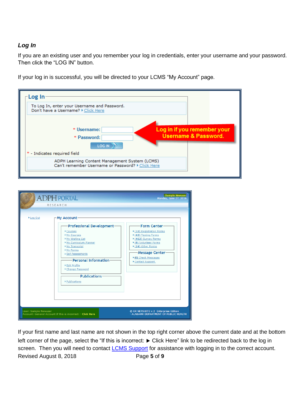#### <span id="page-4-0"></span>*Log In*

If you are an existing user and you remember your log in credentials, enter your username and your password. Then click the "LOG IN" button.

If your log in is successful, you will be directed to your LCMS "My Account" page.



|                      | <b>ADPH PORTAL</b><br>RESEARCH                                                                                                                                                                                                                                                               | Sample Newuser<br>Monday, June 27, 2016                                                                                                                                                                                                    |
|----------------------|----------------------------------------------------------------------------------------------------------------------------------------------------------------------------------------------------------------------------------------------------------------------------------------------|--------------------------------------------------------------------------------------------------------------------------------------------------------------------------------------------------------------------------------------------|
| ▶ Log Out            | -My Account <sup>.</sup><br><b>Professional Development-</b><br>Courses<br>My Courses<br>My Waiting List<br>My Curriculum Planner<br>My Transcript<br>My Forms<br>▶ Self Assessments<br>-Personal Information-<br>▶ Edit Profile<br>Change Password<br><b>Publications</b><br>▶ Publications | Form Center-<br>$\blacktriangleright$ (10) Registration Forms<br>$*(43)$ Testing Forms<br>▶ (462) Survey Forms<br>▶ (0) Volunteer Forms<br>▶ (24) Other Forms<br>Message Center-<br>$\triangleright$ (0) Check Messages<br>Contact Support |
| User: Sample Newuser | Account: General Account If this is incorrect: > Click Here                                                                                                                                                                                                                                  | © ER NETSUITE v.2 Enterprise Edition<br>ALABAMA DEPARTMENT OF PUBLIC HEALTH                                                                                                                                                                |

Revised August 8, 2018 Page **5** of **9** If your first name and last name are not shown in the top right corner above the current date and at the bottom left corner of the page, select the "If this is incorrect:  $\blacktriangleright$  Click Here" link to be redirected back to the log in screen. Then you will need to contact **LCMS [Support](mailto:LCMSSupport@adph.state.al.us)** for assistance with logging in to the correct account.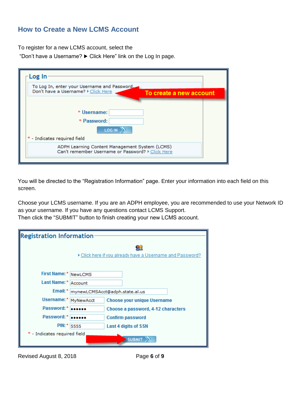## <span id="page-5-0"></span>**How to Create a New LCMS Account**

To register for a new LCMS account, select the

"Don't have a Username?  $\blacktriangleright$  Click Here" link on the Log In page.

| -Log In                                                                                                        |  |
|----------------------------------------------------------------------------------------------------------------|--|
| To Log In, enter your Username and Password,<br>Don't have a Username? > Click Here<br>To create a new account |  |
| * Username:<br>* Password:<br><b>LOG IN</b>                                                                    |  |
| * - Indicates required field                                                                                   |  |
| ADPH Learning Content Management System (LCMS)<br>Can't remember Username or Password? > Click Here            |  |

You will be directed to the "Registration Information" page. Enter your information into each field on this screen.

Choose your LCMS username. If you are an ADPH employee, you are recommended to use your Network ID as your username. If you have any questions contact LCMS Support. Then click the "SUBMIT" button to finish creating your new LCMS account.

| <b>Registration Information</b>                         |           |                                    |
|---------------------------------------------------------|-----------|------------------------------------|
| Click here if you already have a Username and Password? |           |                                    |
| First Name: * NewLCMS                                   |           |                                    |
| Last Name:*                                             | Account   |                                    |
| Email: *<br>mynewLCMSAcct@adph.state.al.us              |           |                                    |
| Username:*                                              | MyNewAcct | <b>Choose your unique Username</b> |
| Password:*                                              |           | Choose a password, 4-12 characters |
| Password:*                                              |           | <b>Confirm password</b>            |
| $PIN:$ *                                                | 5555      | Last 4 digits of SSN               |
| * - Indicates required field                            |           | <b>SUBMIT</b>                      |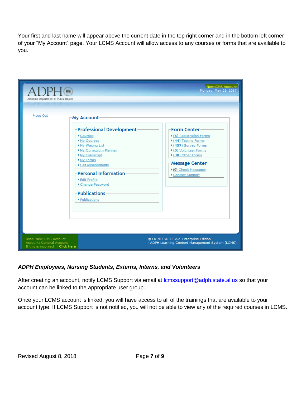Your first and last name will appear above the current date in the top right corner and in the bottom left corner of your "My Account" page. Your LCMS Account will allow access to any courses or forms that are available to you.

| Alabama Department of Public Health                                                   |                                                                                                                                                                                                                                                                                    | NewLCMS Account<br>Monday, May 01, 2017                                                                                                                                                                                             |
|---------------------------------------------------------------------------------------|------------------------------------------------------------------------------------------------------------------------------------------------------------------------------------------------------------------------------------------------------------------------------------|-------------------------------------------------------------------------------------------------------------------------------------------------------------------------------------------------------------------------------------|
| ▶ Log Out                                                                             | My Account<br><b>Professional Development</b><br>Courses<br>My Courses<br>My Waiting List<br>My Curriculum Planner<br>My Transcript<br>My Forms<br>▶ Self Assessments<br><b>Personal Information</b><br>▶ Edit Profile<br>Change Password<br><b>Publications</b><br>▶ Publications | Form Center-<br>$\triangleright$ (6) Registration Forms<br>$*(44)$ Testing Forms<br>▶ (457) Survey Forms<br>▶ (0) Volunteer Forms<br>▶ (38) Other Forms<br>Message Center<br>$\triangleright$ (0) Check Messages<br>Contact Support |
| User: NewLCMS Account<br>Account: General Account<br>If this is incorrect: Click Here |                                                                                                                                                                                                                                                                                    | © ER NETSUITE v.2 Enterprise Edition<br>ADPH Learning Content Management System (LCMS)                                                                                                                                              |

#### *ADPH Employees, Nursing Students, Externs, Interns, and Volunteers*

After creating an account, notify LCMS Support via email at **Icmssupport@adph.state.al.us** so that your account can be linked to the appropriate user group.

Once your LCMS account is linked, you will have access to all of the trainings that are available to your account type. If LCMS Support is not notified, you will not be able to view any of the required courses in LCMS.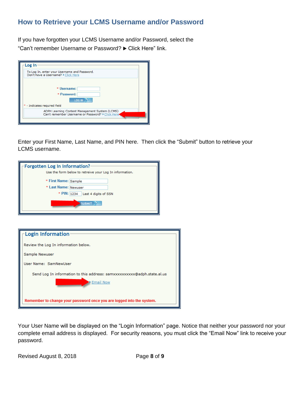# <span id="page-7-0"></span>**How to Retrieve your LCMS Username and/or Password**

If you have forgotten your LCMS Username and/or Password, select the "Can't remember Username or Password? ► Click Here" link.

| Log In                                                                                               |  |
|------------------------------------------------------------------------------------------------------|--|
| To Log In, enter your Username and Password.<br>Don't have a Username? > Click Here                  |  |
| * Username:<br>* Password:<br><b>LOG IN</b><br>* - Indicates required field                          |  |
| ADPH Learning Content Management System (LCMS)<br>Can't remember Username or Password? > Click Here< |  |
|                                                                                                      |  |

Enter your First Name, Last Name, and PIN here. Then click the "Submit" button to retrieve your LCMS username.

| Forgotten Log In Information?<br>Use the form below to retreive your Log In information.             |  |
|------------------------------------------------------------------------------------------------------|--|
| * First Name: Sample<br>* Last Name: Newuser<br>* PIN: 1234<br>Last 4 digits of SSN<br><b>SUBMIT</b> |  |

| Login Information                                                                    |
|--------------------------------------------------------------------------------------|
| Review the Log In information below.                                                 |
| Sample Newuser                                                                       |
| User Name: SamNewUser                                                                |
| Send Log In information to this address: samxxxxxxxxxx@adph.state.al.us<br>Email Now |
| Remember to change your password once you are logged into the system.                |

Your User Name will be displayed on the "Login Information" page. Notice that neither your password nor your complete email address is displayed. For security reasons, you must click the "Email Now" link to receive your password.

Revised August 8, 2018 Page **8** of **9**